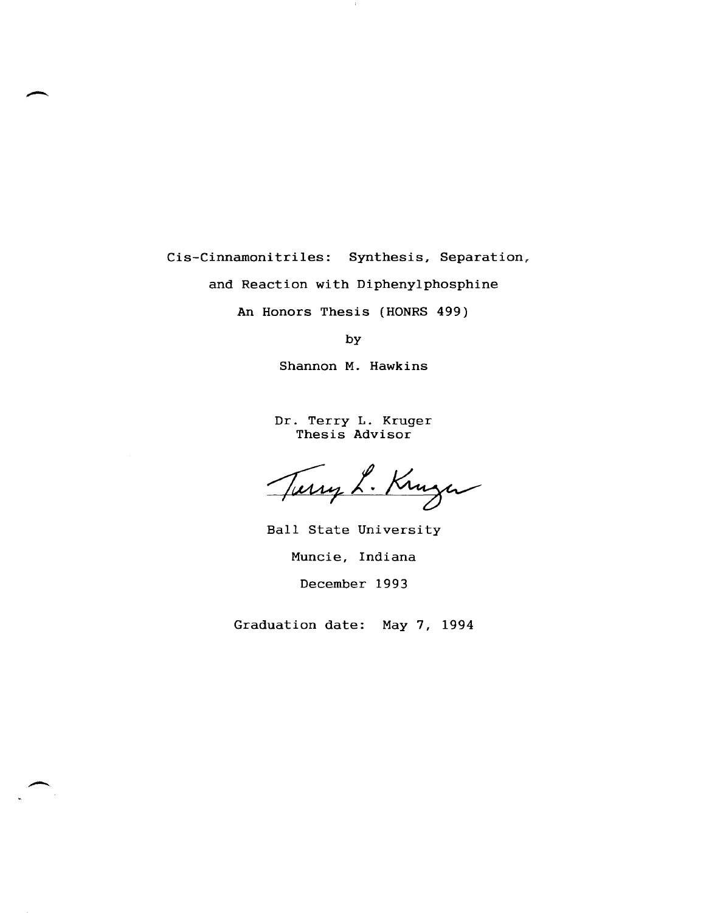Cis-Cinnamoni triles: Synthesis, Separation,.

and Reaction with Diphenylphosphine

An Honors Thesis (HONRS 499)

by

Shannon M. Hawkins

Dr. Terry L. Kruger Thesis Advisor

Turry L. Kruger

Ball State University Muncie, Indiana December 1993

Graduation date: May 7, 1994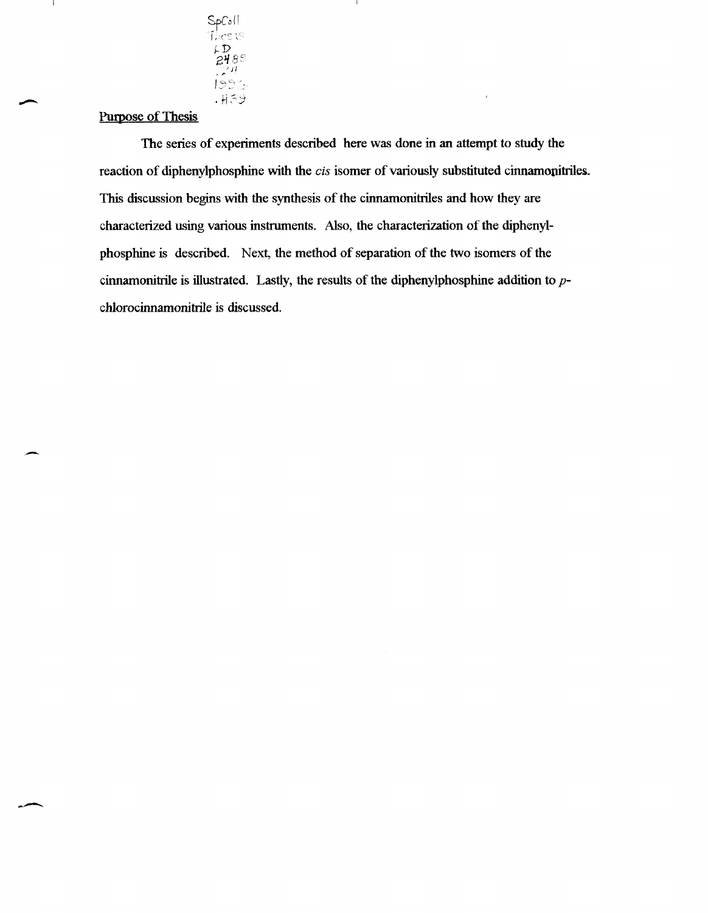

### Purpose of Thesis

-

J.

.. -

The series of experiments described here was done in an attempt to study the reaction of diphenylphosphine with the *cis* isomer of variously substituted cinnamonitriles. This discussion begins with the synthesis of the cinnamonitriles and how they are characterized using various instruments. Also, the characterization of the diphenylphosphine is described. Next, the method of separation of the two isomers of the cinnamonitrile is illustrated. Lastly, the results of the diphenylphosphine addition to  $p$ chlorocinnamonitrile is discussed.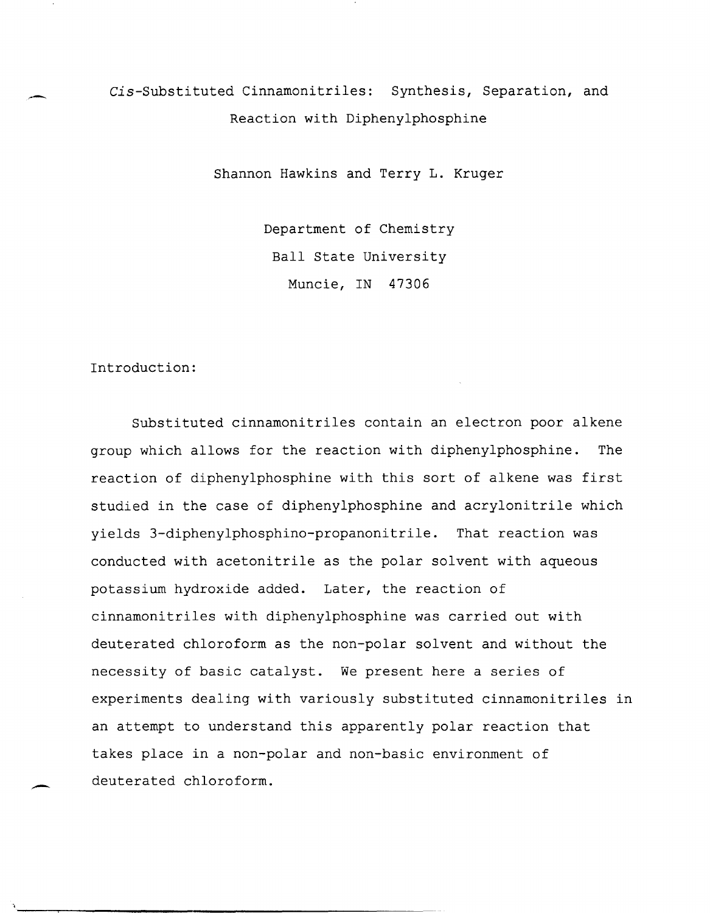## Cis-Substituted Cinnamonitriles: Synthesis, Separation, and Reaction with Diphenylphosphine

Shannon Hawkins and Terry **L.** Kruger

Department of Chemistry Ball State University Muncie, IN 47306

#### Introduction:

Substituted cinnamonitriles contain an electron poor alkene group which allows for the reaction with diphenylphosphine. The reaction of diphenylphosphine with this sort of alkene was first studied in the case of diphenylphosphine and acrylonitrile which yields 3-diphenylphosphino-propanonitrile. That reaction was conducted with acetonitrile as the polar solvent with aqueous potassium hydroxide added. Later, the reaction of cinnamonitriles with diphenylphosphine was carried out with deuterated chloroform as the non-polar solvent and without the necessity of basic catalyst. We present here a series of experiments dealing with variously substituted cinnamonitriles in an attempt to understand this apparently polar reaction that takes place in a non-polar and non-basic environment of deuterated chloroform.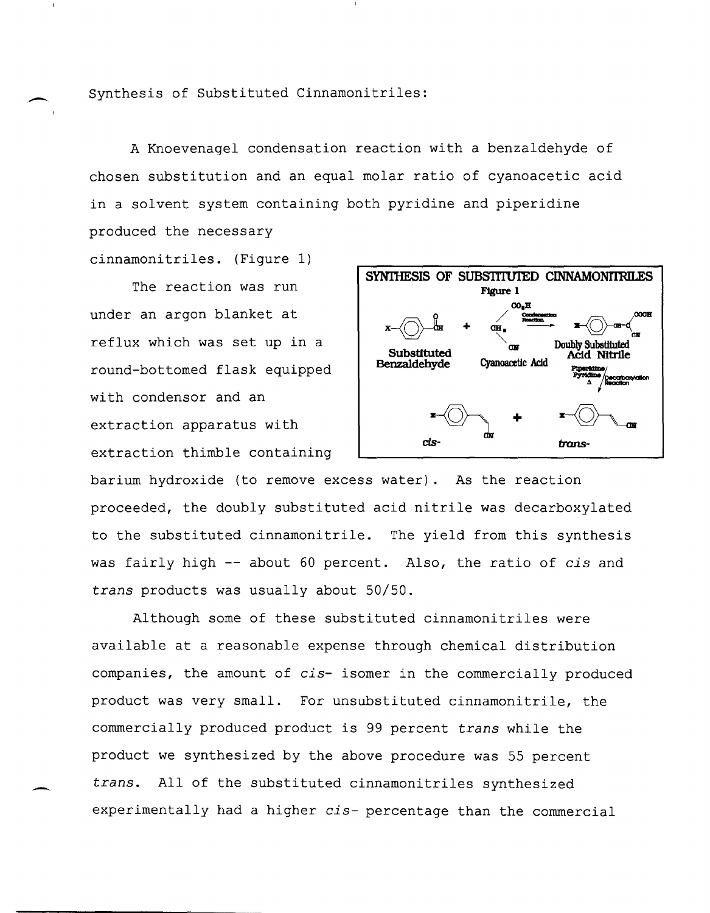Synthesis of Substituted Cinnamonitriles:

-

-

A Knoevenagel condensation reaction with a benzaldehyde of chosen substitution and an equal molar ratio of cyanoacetic acid in a solvent system containing both pyridine and piperidine produced the necessary cinnamonitriles. (Figure 1)

The reaction was run under an argon blanket at reflux which was set up in a round-bottomed flask equipped with condensor and an extraction apparatus with extraction thimble containing



barium hydroxide (to remove excess water). As the reaction proceeded, the doubly substituted acid nitrile was decarboxylated to the substituted cinnamonitrile. The yield from this synthesis was fairly high -- about 60 percent. Also, the ratio of *cis* and *trans* products was usually about 50/50.

Although some of these substituted cinnamonitriles were available at a reasonable expense through chemical distribution companies, the amount of *cis-* isomer in the commercially produced product was very small. For unsubstituted cinnamonitrile, the commercially produced product is 99 percent *trans* while the product we synthesized by the above procedure was 55 percent *trans.* All of the substituted cinnamonitriles synthesized experimentally had a higher *cis-* percentage than the commercial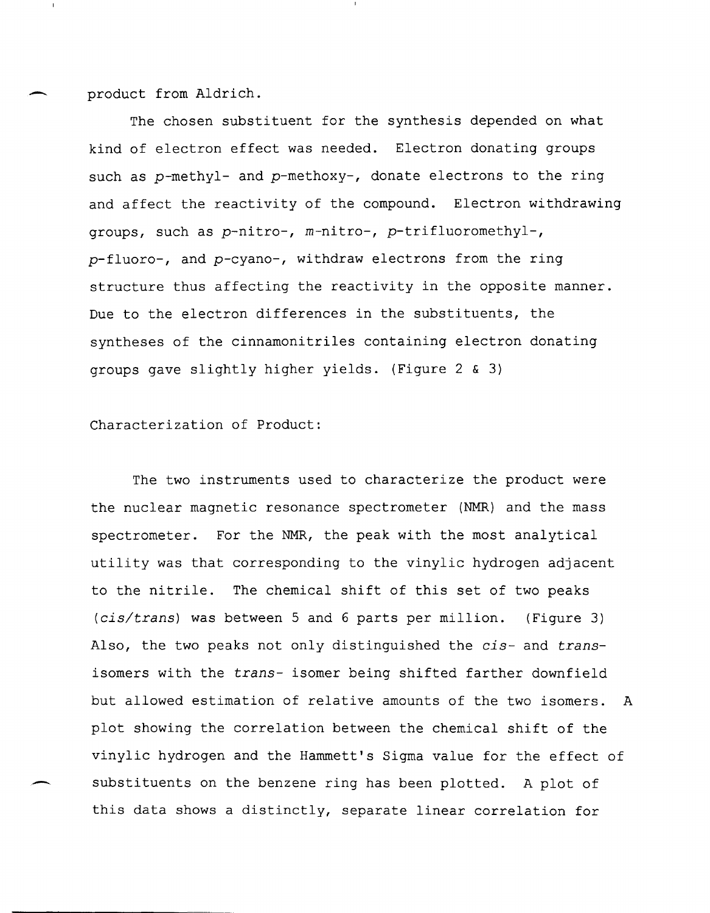product from Aldrich.

The chosen substituent for the synthesis depended on what kind of electron effect was needed. Electron donating groups such as p-methyl- and p-methoxy-, donate electrons to the ring and affect the reactivity of the compound. Electron withdrawing groups, such as *p-nitro-,* m-nitro-, p-trifluoromethyl-, *p-fluoro-,* and *p-cyano-,* withdraw electrons from the ring structure thus affecting the reactivity in the opposite manner. Due to the electron differences in the substituents, the syntheses of the cinnamonitriles containing electron donating groups gave slightly higher yields. (Figure 2 & 3)

#### Characterization of Product:

The two instruments used to characterize the product were the nuclear magnetic resonance spectrometer (NMR) and the mass spectrometer. For the NMR, the peak with the most analytical utility was that corresponding to the vinylic hydrogen adjacent to the nitrile. The chemical shift of this set of two peaks *(cis/trans)* was between 5 and 6 parts per million. (Figure 3) Also, the two peaks not only distinguished the *cis-* and *trans*isomers with the *trans-* isomer being shifted farther downfield but allowed estimation of relative amounts of the two isomers. A plot showing the correlation between the chemical shift of the vinylic hydrogen and the Hammett's Sigma value for the effect of substituents on the benzene ring has been plotted. A plot of this data shows a distinctly, separate linear correlation for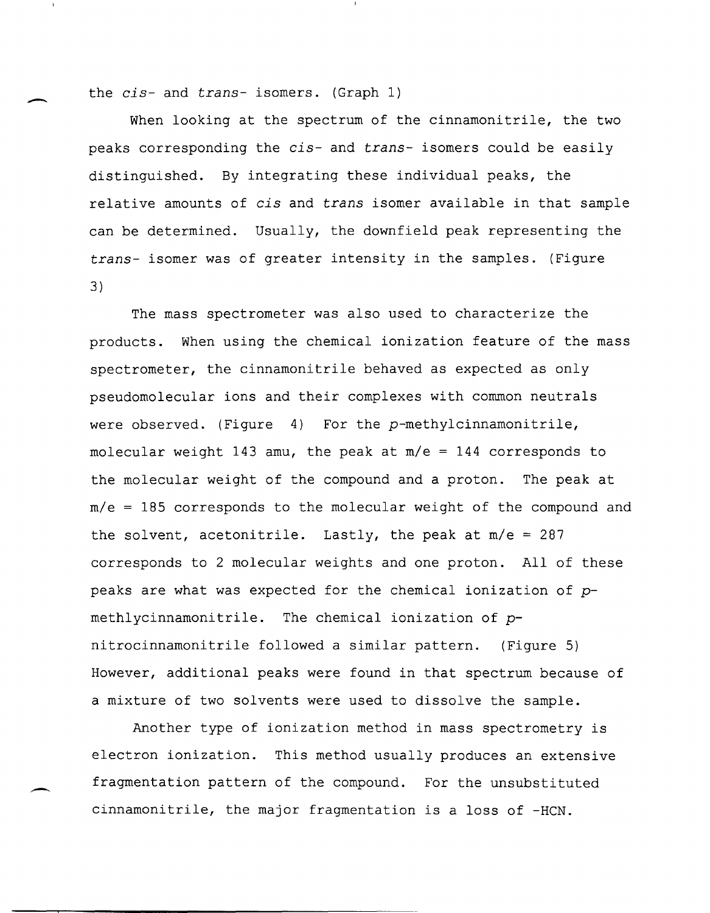the *cis-* and *trans-* isomers. (Graph 1)

When looking at the spectrum of the cinnamonitrile, the two peaks corresponding the *cis-* and *trans-* isomers could be easily distinguished. By integrating these individual peaks, the relative amounts of *cis* and *trans* isomer available in that sample can be determined. Usually, the downfield peak representing the *trans-* isomer was of greater intensity in the samples. (Figure 3)

The mass spectrometer was also used to characterize the products. When using the chemical ionization feature of the mass spectrometer, the cinnamonitrile behaved as expected as only pseudomolecular ions and their complexes with common neutrals were observed. (Figure 4) For the p-methylcinnamonitrile, molecular weight 143 amu, the peak at *mle* = 144 corresponds to the molecular weight of the compound and a proton. The peak at *mle* = 185 corresponds to the molecular weight of the compound and the solvent, acetonitrile. Lastly, the peak at *mle* = 287 corresponds to 2 molecular weights and one proton. All of these peaks are what was expected for the chemical ionization of  $p$ methlycinnamonitrile. The chemical ionization of pnitrocinnamonitrile followed a similar pattern. (Figure 5) However, additional peaks were found in that spectrum because of a mixture of two solvents were used to dissolve the sample.

Another type of ionization method in mass spectrometry is electron ionization. This method usually produces an extensive fragmentation pattern of the compound. For the unsubstituted cinnamonitrile, the major fragmentation is a loss of -HeN.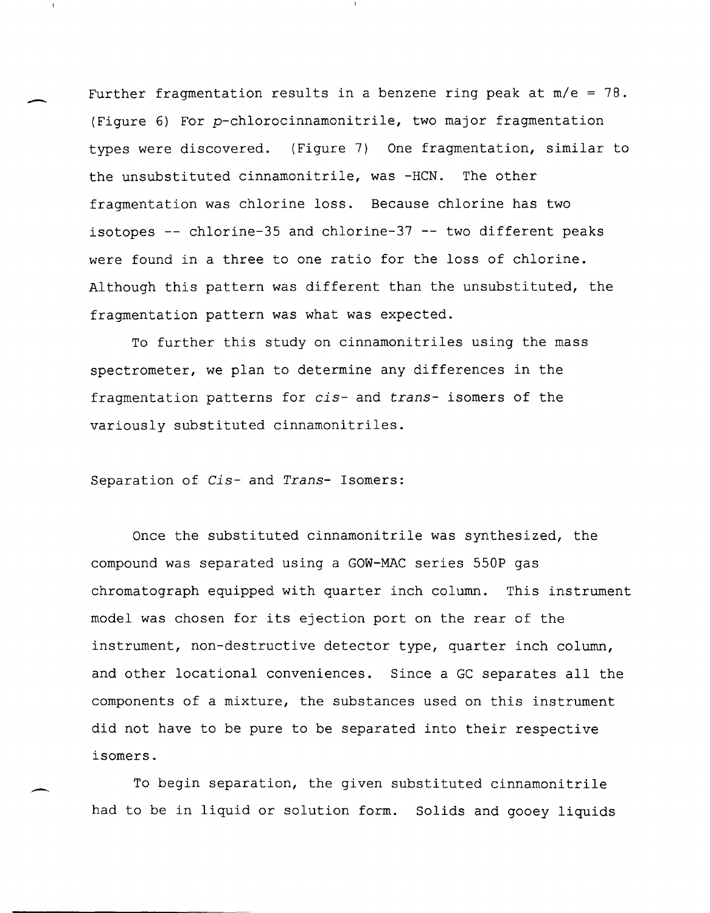Further fragmentation results in a benzene ring peak at *mle* = 78. (Figure 6) For p-chlorocinnamonitrile, two major fragmentation types were discovered. (Figure 7) One fragmentation, similar to the unsubstituted cinnamonitrile, was -HCN. The other fragmentation was chlorine loss. Because chlorine has two isotopes **--** chlorine-35 and chlorine-37 **--** two different peaks were found in a three to one ratio for the loss of chlorine. Although this pattern was different than the unsubstituted, the fragmentation pattern was what was expected.

To further this study on cinnamonitriles using the mass spectrometer, we plan to determine any differences in the fragmentation patterns for *cis-* and *trans-* isomers of the variously substituted cinnamonitriles.

#### Separation of *Cis-* and *Trans-* Isomers:

Once the substituted cinnamonitrile was synthesized, the compound was separated using a GOW-MAC series 550P gas chromatograph equipped with quarter inch column. This instrument model was chosen for its ejection port on the rear of the instrument, non-destructive detector type, quarter inch column, and other locational conveniences. Since a GC separates all the components of a mixture, the substances used on this instrument did not have to be pure to be separated into their respective isomers.

To begin separation, the given substituted cinnamonitrile had to be in liquid or solution form. Solids and gooey liquids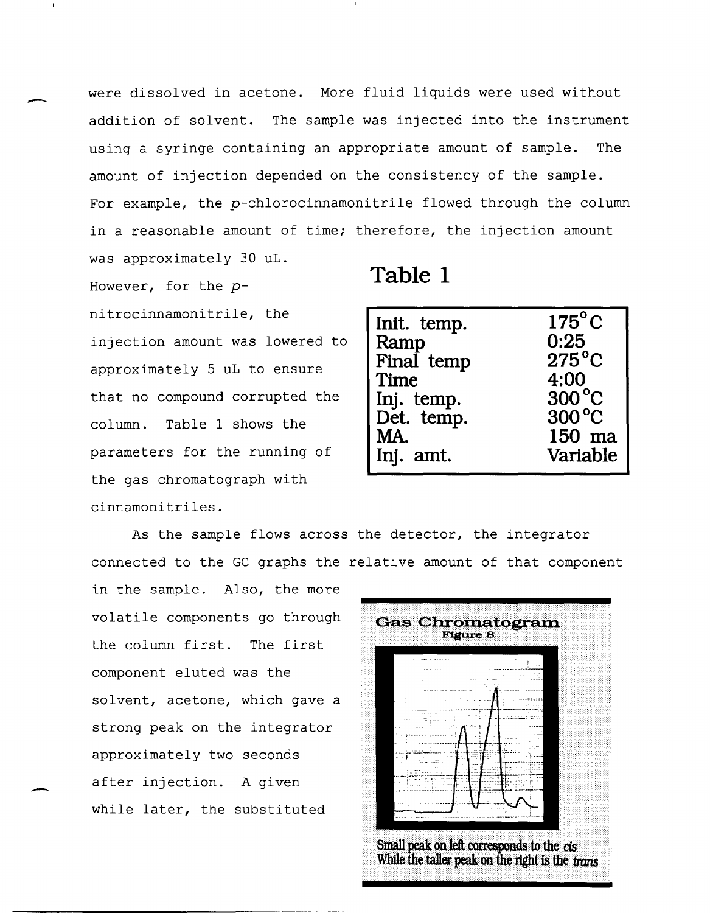were dissolved in acetone. More fluid liquids were used without addition of solvent. The sample was injected into the instrument using a syringe containing an appropriate amount of sample. The amount of injection depended on the consistency of the sample. For example, the p-chlorocinnamonitrile flowed through the column in a reasonable amount of time; therefore, the injection amount was approximately 30 uL.

However, for the pnitrocinnamonitrile, the injection amount was lowered to approximately 5 uL to ensure that no compound corrupted the column. Table 1 shows the parameters for the running of the gas chromatograph with cinnamonitriles.

-

-

# **Table 1**

| Init. temp. | $175^{\circ}$ C |
|-------------|-----------------|
| Ramp        | 0:25            |
| Final temp  | $275^{\circ}$ C |
| Time        | 4:00            |
| Inj. temp.  | $300^{\circ}$ C |
| Det. temp.  | 300 °C          |
| MA.         | 150 ma          |
| Inj. amt.   | Variable        |

As the sample flows across the detector, the integrator connected to the GC graphs the relative amount of that component

in the sample. Also, the more volatile components go through the column first. The first component eluted was the solvent, acetone, which gave a strong peak on the integrator approximately two seconds after injection. A given while later, the substituted

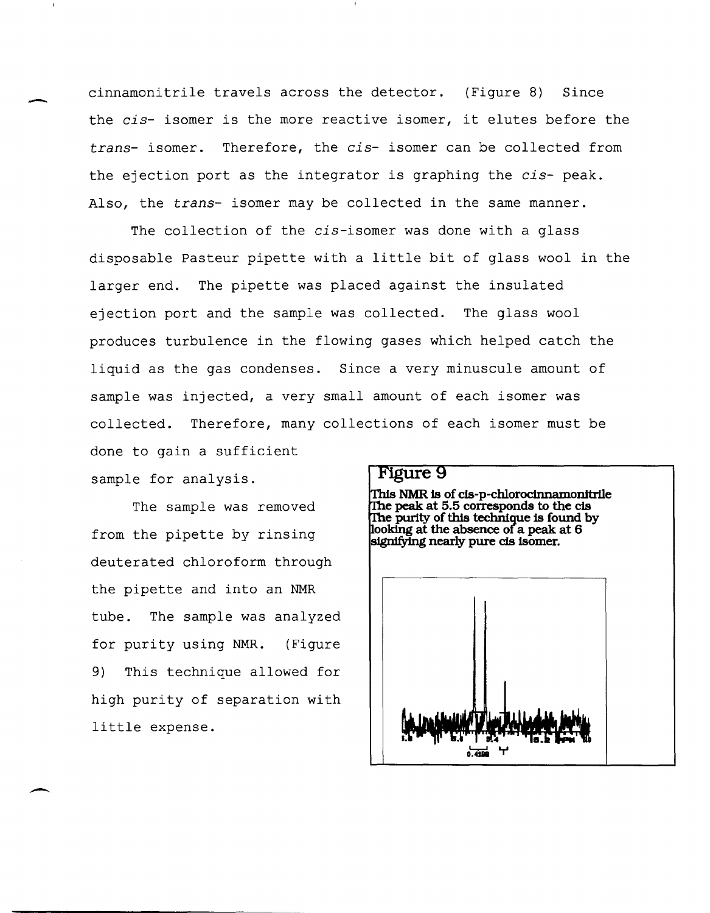- cinnamonitrile travels across the detector. (Figure 8) Since the *cis-* isomer is the more reactive isomer, it elutes before the *trans-* isomer. Therefore, the *cis-* isomer can be collected from the ejection port as the integrator is graphing the *cis-* peak. Also, the *trans-* isomer may be collected in the same manner.

> The collection of the *cis-isomer* was done with a glass disposable Pasteur pipette with a little bit of glass wool in the larger end. The pipette was placed against the insulated ejection port and the sample was collected. The glass wool produces turbulence in the flowing gases which helped catch the liquid as the gas condenses. Since a very minuscule amount of sample was injected, a very small amount of each isomer was collected. Therefore, many collections of each isomer must be done to gain a sufficient

sample for analysis.

The sample was removed from the pipette by rinsing deuterated chloroform through the pipette and into an NMR tube. The sample was analyzed for purity using NMR. (Figure 9) This technique allowed for high purity of separation with little expense.

#### **Figure 9**

This NMR is of cis-p-chlorocinnamonitrile e **peak at 5.5 corresponds to the cis e purity of this technique is found by ooking at the absence of a peak at 6**  signifying nearly pure cis isomer.

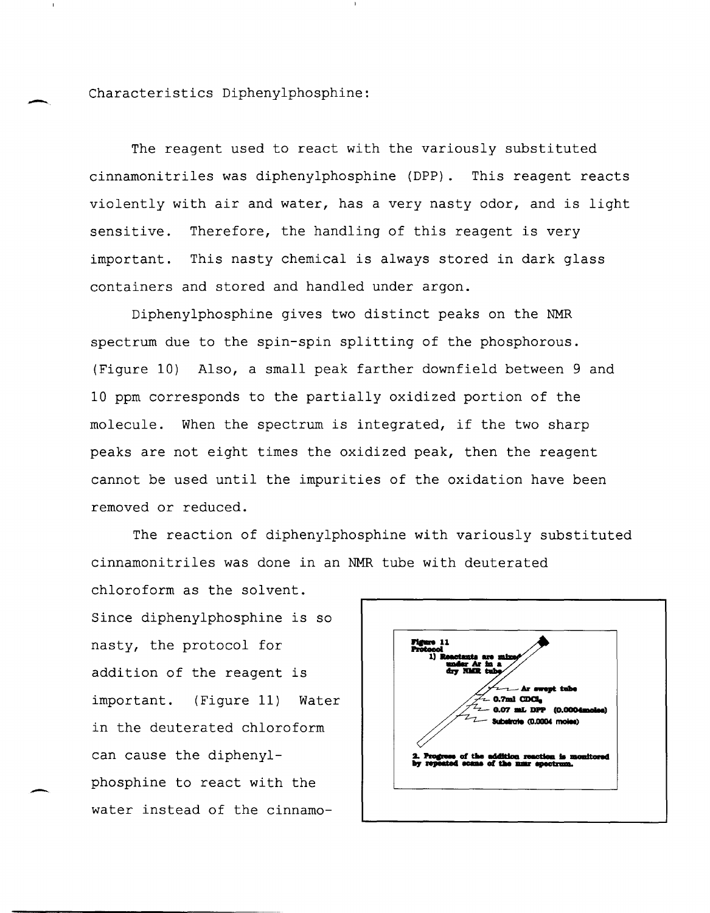- Characteristics Diphenylphosphine:

The reagent used to react with the variously substituted cinnamonitriles was diphenylphosphine (DPP). This reagent reacts violently with air and water, has a very nasty odor, and is light sensitive. Therefore, the handling of this reagent is very important. This nasty chemical is always stored in dark glass containers and stored and handled under argon.

Diphenylphosphine gives two distinct peaks on the NMR spectrum due to the spin-spin splitting of the phosphorous. (Figure 10) Also, a small peak farther downfield between 9 and 10 ppm corresponds to the partially oxidized portion of the molecule. When the spectrum is integrated, if the two sharp peaks are not eight times the oxidized peak, then the reagent cannot be used until the impurities of the oxidation have been removed or reduced.

The reaction of diphenylphosphine with variously substituted cinnamonitriles was done in an NMR tube with deuterated

chloroform as the solvent. Since diphenylphosphine is so nasty, the protocol for addition of the reagent is important. (Figure 11) Water in the deuterated chloroform can cause the diphenylphosphine to react with the water instead of the cinnamo-

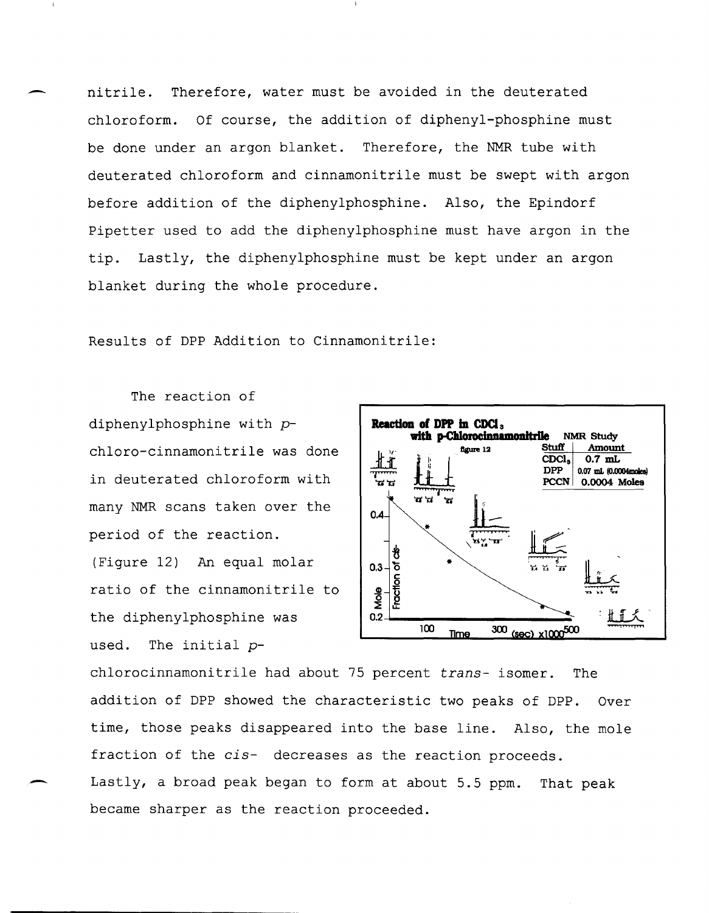nitrile. Therefore, water must be avoided in the deuterated chloroform. Of course, the addition of diphenyl-phosphine must be done under an argon blanket. Therefore, the NMR tube with deuterated chloroform and cinnamonitrile must be swept with argon before addition of the diphenylphosphine. Also, the Epindorf Pipetter used to add the diphenylphosphine must have argon in the tip. Lastly, the diphenylphosphine must be kept under an argon blanket during the whole procedure.

Results of DPP Addition to Cinnamonitrile:

The reaction of diphenylphosphine with  $p-$  **Reaction of DPP in CDCl**<sub>s</sub> in deuterated chloroform with many NMR scans taken over the period of the reaction. (Figure 12) An equal molar  $\begin{bmatrix} 0.3 \end{bmatrix}$ ratio of the cinnamonitrile to the diphenylphosphine was used. The initial *p-*

-



chlorocinnamonitrile had about 75 percent *trans-* isomer. The addition of DPP showed the characteristic two peaks of DPP. Over time, those peaks disappeared into the base line. Also, the mole fraction of the *cis-* decreases as the reaction proceeds. Lastly, a broad peak began to form at about 5.5 ppm. That peak became sharper as the reaction proceeded.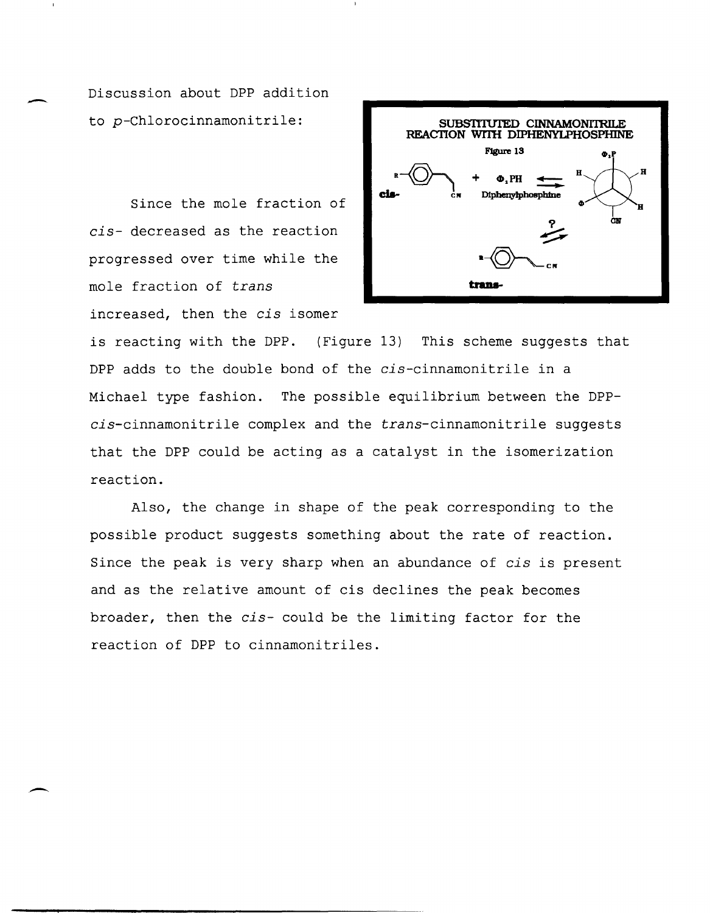Discussion about DPP addition to p-Chlorocinnamonitrile:

-

 $\overline{\phantom{a}}$ 

Since the mole fraction of *cis-* decreased as the reaction progressed over time while the mole fraction of *trans*  increased, then the *cis* isomer



is reacting with the DPP. (Figure 13) This scheme suggests that DPP adds to the double bond of the *cis-cinnamonitrile* in a Michael type fashion. The possible equilibrium between the DPPcis-cinnamonitrile complex and the trans-cinnamonitrile suggests that the DPP could be acting as a catalyst in the isomerization reaction.

Also, the change in shape of the peak corresponding to the possible product suggests something about the rate of reaction. Since the peak is very sharp when an abundance of *cis* is present and as the relative amount of cis declines the peak becomes broader, then the *cis-* could be the limiting factor for the reaction of DPP to cinnamonitriles .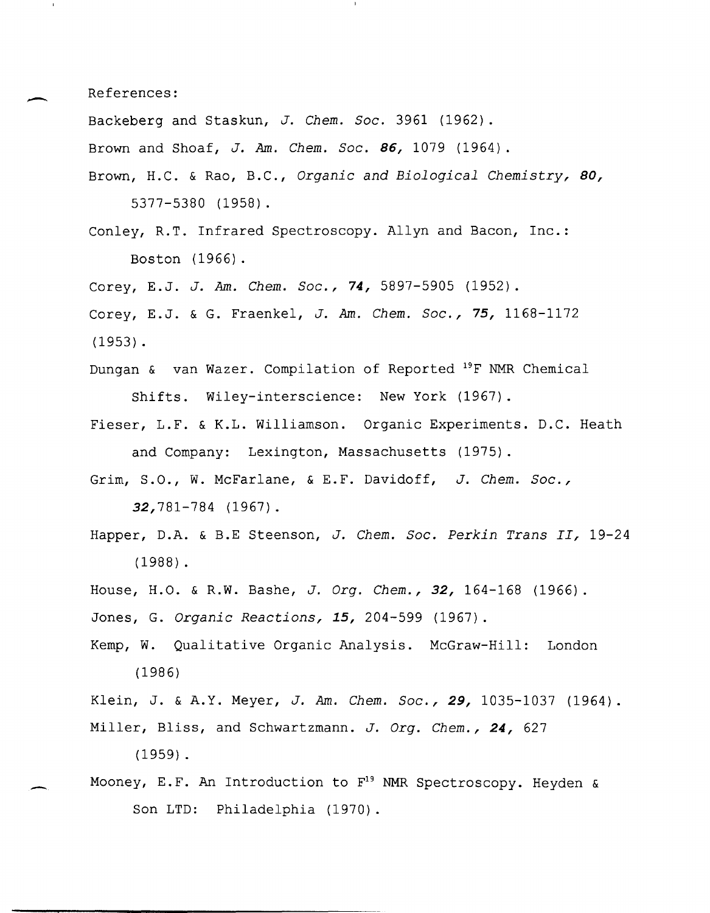References:

-

-

Backeberg and Staskun, *J. Chem. Soc.* 3961 (1962).

Brown and Shoaf, *J.* Am. *Chem. Soc.* **86,** 1079 (1964).

- Brown, H.C. & Rao, B.C., *Organic and Biological Chemistry, 80,*  5377-5380 (1958).
- Conley, R.T. Infrared Spectroscopy. Allyn and Bacon, Inc.: Boston (1966).
- Corey, E.J. *J.* Am. *Chem. Soc.,* **74,** 5897-5905 (1952).
- Corey, E.J. & G. Fraenkel, *J.* Am. *Chem. Soc.,* **75,** 1168-1172 (1953) .
- Dungan & van Wazer. Compilation of Reported <sup>19</sup>F NMR Chemical Shifts. Wiley-interscience: New York (1967).
- Fieser, L.F. & K.L. Williamson. Organic Experiments. D.C. Heath and Company: Lexington, Massachusetts (1975).
- Grim, S.O., W. McFarlane, & E.F. Davidoff, *J. Chem. Soc.,*  32,781-784 (1967).
- Happer, D.A. & B.E Steenson, *J. Chem. Soc. Perkin Trans II, 19-24*  (1988) .
- House, H.O. & R.W. Bashe, *J. Org. Chem.,* **32,** 164-168 (1966).

Jones, G. *Organic Reactions,* **15,** 204-599 (1967).

Kemp, W. Qualitative Organic Analysis. McGraw-Hill: London (1986)

Klein, J. & A.Y. Meyer, *J.* Am. *Chem. Soc.,* **29,** 1035-1037 (1964).

- Miller, Bliss, and Schwartzmann. *J. Org. Chem.,* **24,** 627 (1959) .
- Mooney, E.F. An Introduction to  $F^{19}$  NMR Spectroscopy. Heyden & Son LTD: Philadelphia (1970).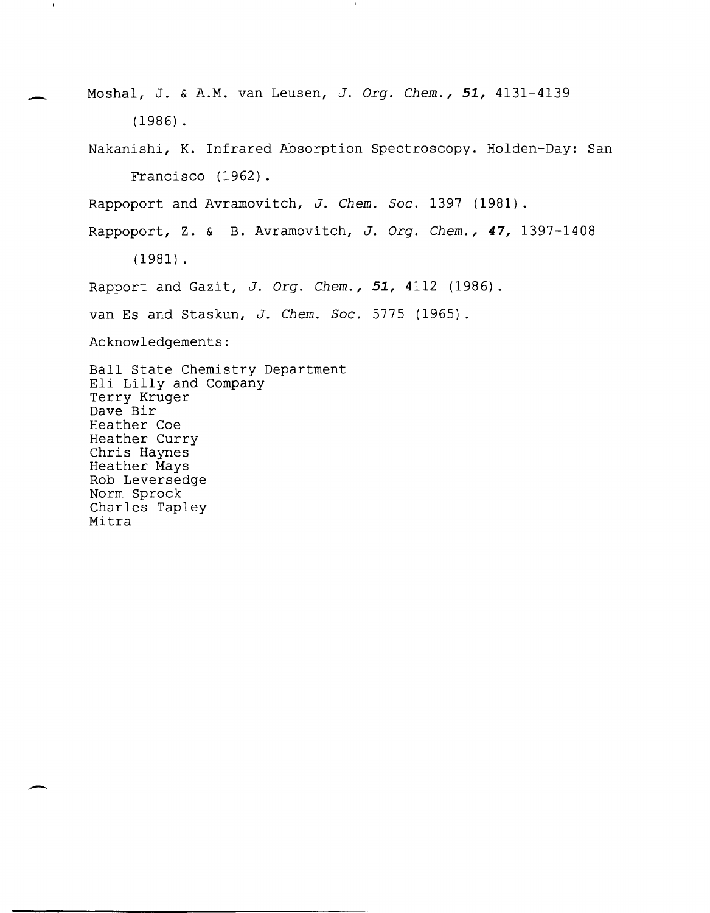Moshal, J. & A.M. van Leusen, *J. Grg. Chem.,* **51,** 4131-4139 (1986) . Nakanishi, K. Infrared Absorption Spectroscopy. Holden-Day: San Francisco (1962). Rappoport and Avramovitch, *J. Chem. Soc.* 1397 (1981). Rappoport, z. & B. Avramovitch, *J. Grg. Chem.,* **47,** 1397-1408 (1981) . Rapport and Gazit, *J. Grg. Chem.,* **51,** 4112 (1986). van Es and Staskun, *J. Chem. Soc.* 5775 (1965). Acknowledgements: Ball State Chemistry Department Eli Lilly and Company Terry Kruger Dave Bir Heather Coe Heather Curry Chris Haynes Heather Mays Rob Leversedge Norm Sprock Charles Tapley Mitra

-

 $\mathbf{I}$ 

-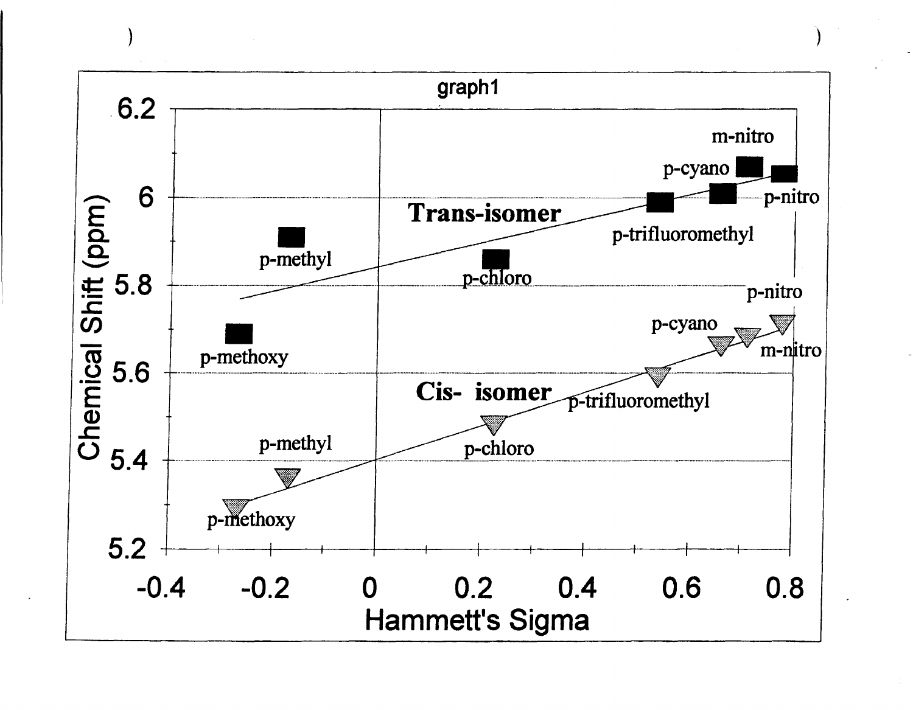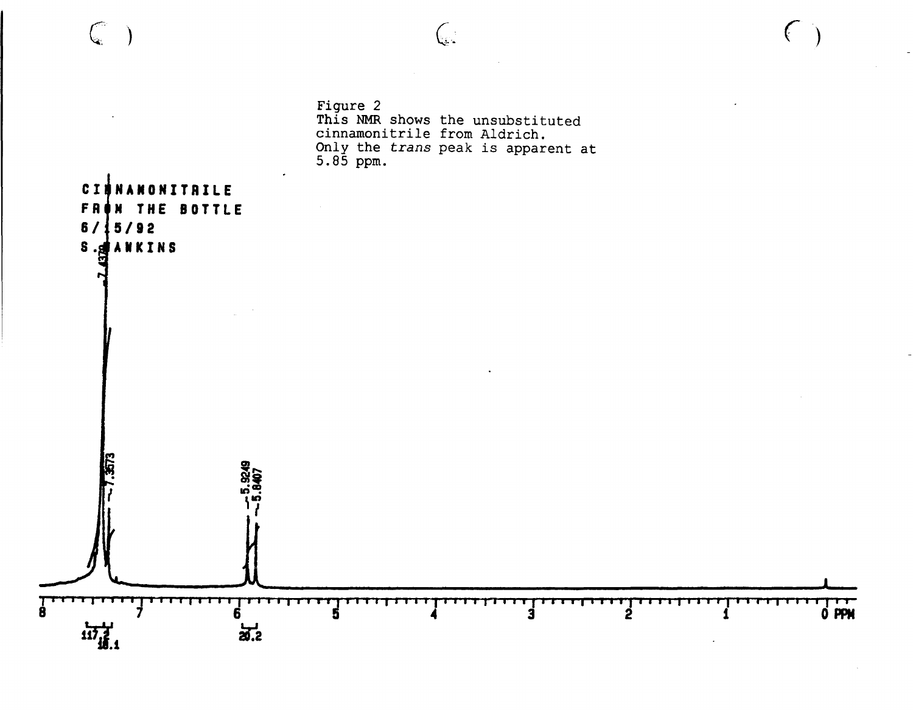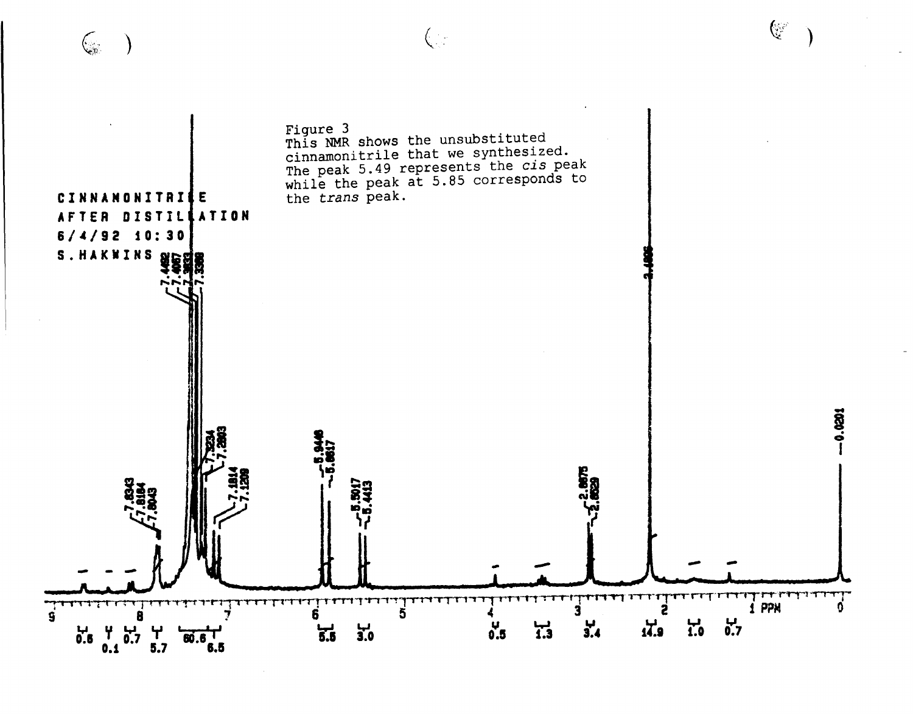



 $\Big(\begin{smallmatrix} \cdot & \cdot \end{smallmatrix}$ 

 $\begin{pmatrix} 0 & 0 \\ 0 & 0 \end{pmatrix}$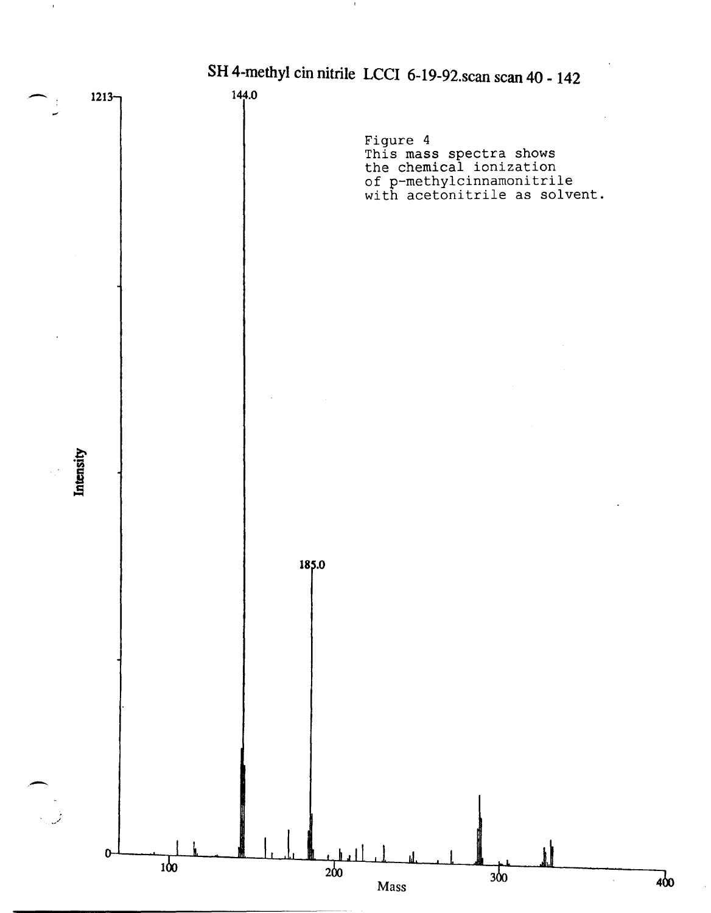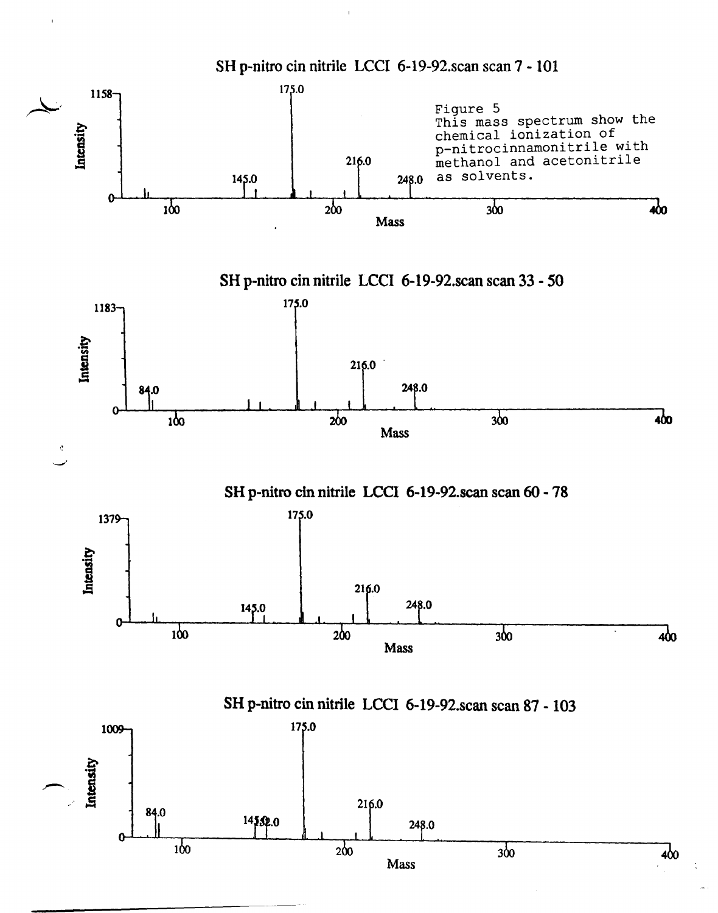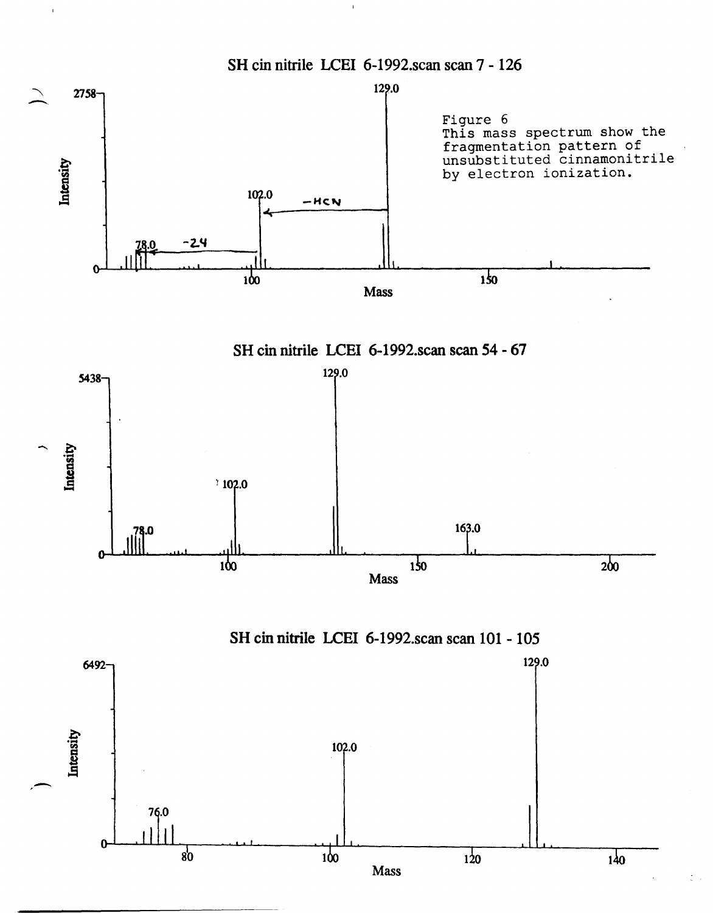



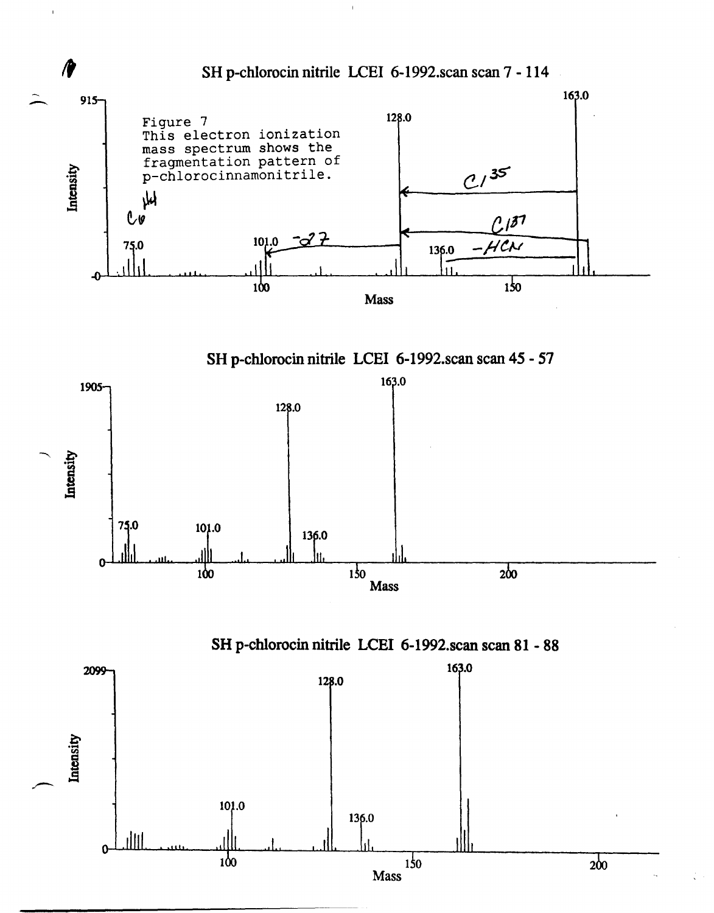

 $\bar{1}$ 

**Mass** 

 $200$